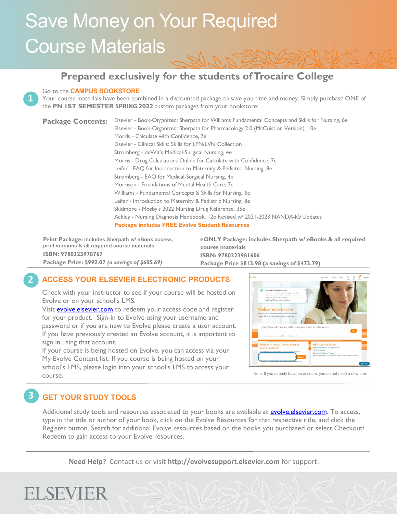# Save Money on Your Required Course Materials

### **Prepared exclusively for the students of Trocaire College**



#### Go to the **CAMPUS BOOKSTORE**

Your course materials have been combined in a discounted package to save you time and money. Simply purchase ONE of the **PN 1ST SEMESTER SPRING 2022** custom packages from your bookstore:

Elsevier - Book-Organized: Sherpath for Williams Fundamental Concepts and Skills for Nursing, 6e Elsevier - Book-Organized: Sherpath for Pharmacology 2.0 (McCuistion Version), 10e Morris - Calculate with Confidence, 7e Elsevier - Clinical Skills: Skills for LPN/LVN Collection Stromberg - deWit's Medical-Surgical Nursing, 4e Morris - Drug Calculations Online for Calculate with Confidence, 7e Leifer - EAQ for Introduction to Maternity & Pediatric Nursing, 8e Stromberg - EAQ for Medical-Surgical Nursing, 4e Morrison - Foundations of Mental Health Care, 7e Williams - Fundamental Concepts & Skills for Nursing, 6e Leifer - Introduction to Maternity & Pediatric Nursing, 8e Skidmore - Mosby's 2022 Nursing Drug Reference, 35e Ackley - Nursing Diagnosis Handbook, 12e Revised w/ 2021-2023 NANDA-I® Updates **Package includes FREE Evolve Student Resources Package Contents:**

**Print Package: includes Sherpath w/ eBook access, print versions & all required course materials ISBN: 9780323978767 Package Price: \$992.07** *(a savings of \$605.69)*

**eONLY Package: includes Sherpath w/ eBooks & all required course materials ISBN: 9780323981606 Package Price \$813.98 (a savings of \$473.79)**

### **2 ACCESS YOUR ELSEVIER ELECTRONIC PRODUCTS**

Check with your instructor to see if your course will be hosted on Evolve or on your school's LMS.

Visit **evolve.elsevier.com** to redeem your access code and register for your product. Sign-in to Evolve using your username and password or if you are new to Evolve please create a user account. If you have previously created an Evolve account, it is important to sign in using that account.

If your course is being hosted on Evolve, you can access via your My Evolve Content list. If you course is being hosted on your school's LMS, please login into your school's LMS to access your course.



Note: If you already have an account, you do not need a new one.

### **3 GET YOUR STUDY TOOLS**

Additional study tools and resources associated to your books are available at **evolve.elsevier.com**. To access, type in the title or author of your book, click on the Evolve Resources for that respective title, and click the Register button. Search for additional Evolve resources based on the books you purchased or select Checkout/ Redeem to gain access to your Evolve resources.

**Need Help?** Contact us or visit **http://evolvesupport.elsevier.com** for support.

## **ELSEVIER**